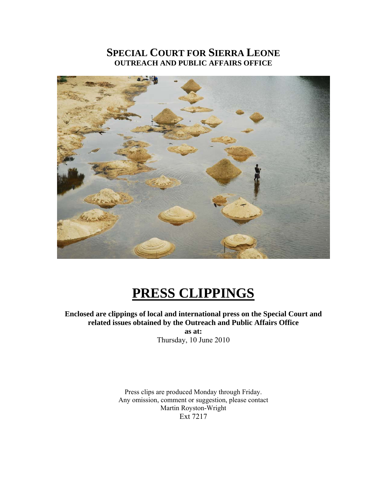# **SPECIAL COURT FOR SIERRA LEONE OUTREACH AND PUBLIC AFFAIRS OFFICE**



# **PRESS CLIPPINGS**

# **Enclosed are clippings of local and international press on the Special Court and related issues obtained by the Outreach and Public Affairs Office**

**as at:**  Thursday, 10 June 2010

Press clips are produced Monday through Friday. Any omission, comment or suggestion, please contact Martin Royston-Wright Ext 7217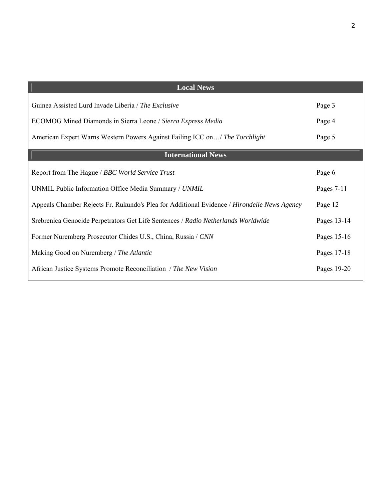| <b>Local News</b>                                                                           |             |
|---------------------------------------------------------------------------------------------|-------------|
| Guinea Assisted Lurd Invade Liberia / The Exclusive                                         | Page 3      |
| ECOMOG Mined Diamonds in Sierra Leone / Sierra Express Media                                | Page 4      |
| American Expert Warns Western Powers Against Failing ICC on/ The Torchlight                 | Page 5      |
| <b>International News</b>                                                                   |             |
|                                                                                             |             |
| Report from The Hague / BBC World Service Trust                                             | Page 6      |
| UNMIL Public Information Office Media Summary / UNMIL                                       | Pages 7-11  |
| Appeals Chamber Rejects Fr. Rukundo's Plea for Additional Evidence / Hirondelle News Agency | Page 12     |
| Srebrenica Genocide Perpetrators Get Life Sentences / Radio Netherlands Worldwide           | Pages 13-14 |
| Former Nuremberg Prosecutor Chides U.S., China, Russia / CNN                                | Pages 15-16 |
| Making Good on Nuremberg / The Atlantic                                                     | Pages 17-18 |
| African Justice Systems Promote Reconciliation / The New Vision                             | Pages 19-20 |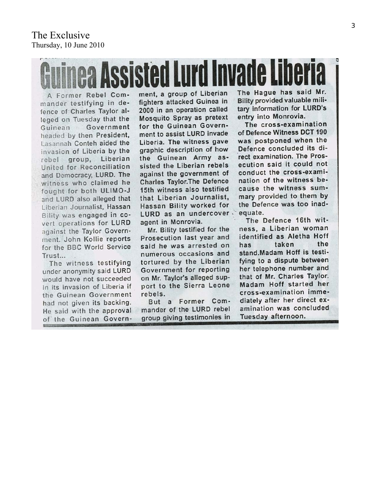# ssisted Lurd Invade Liberi

A Former Rebel Commander testifying in defence of Charles Taylor alleged on Tuesday that the Government Guinean headed by then President, Lasannah Conteh aided the invasion of Liberia by the rebel group, Liberian United for Reconciliation and Democracy, LURD. The witness who claimed he fought for both ULIMO-J and LURD also alleged that Liberian Journalist, Hassan Bility was engaged in covert operations for LURD against the Taylor Government. John Kollie reports for the BBC World Service Trust...

The witness testifying under anonymity said LURD would have not succeeded in its invasion of Liberia if the Guinean Government had not given its backing. He said with the approval of the Guinean Government, a group of Liberian fighters attacked Guinea in 2000 in an operation called Mosquito Spray as pretext for the Guinean Government to assist LURD invade Liberia. The witness gave graphic description of how the Guinean Army assisted the Liberian rebels against the government of **Charles Taylor. The Defence** 15th witness also testified that Liberian Journalist, Hassan Bility worked for LURD as an undercover agent in Monrovia.

Mr. Bility testified for the Prosecution last year and said he was arrested on numerous occasions and tortured by the Liberian Government for reporting on Mr. Taylor's alleged support to the Sierra Leone rebels.

But a Former Commander of the LURD rebel group giving testimonies in The Hague has said Mr. Bility provided valuable military information for LURD's entry into Monrovia.

The cross-examination of Defence Witness DCT 190 was postponed when the Defence concluded its direct examination. The Prosecution said it could not conduct the cross-examination of the witness because the witness summary provided to them by the Defence was too inadequate.

The Defence 16th witness, a Liberian woman identified as Aletha Hoff taken the has stand.Madam Hoff is testifying to a dispute between her telephone number and that of Mr. Charles Taylor. Madam Hoff started her cross-examination immediately after her direct examination was concluded Tuesday afternoon.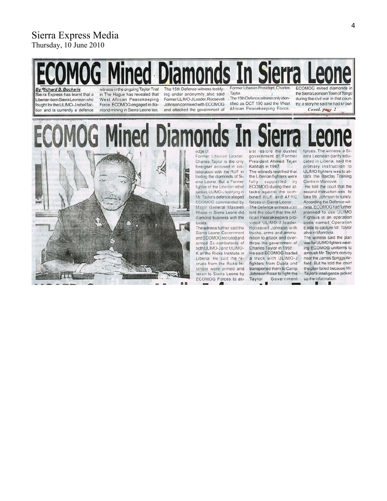# Sierra Express Media Thursday, 10 June 2010

#### ned Diamonds In Sierra Former Liberian President, Charles ECOMOG mined diamonds in witness in the ongoing Taylor Trial The 15th Defence witness testify **By Richard B. Bockarie** Taylor. the Sierra Leonean Town of Tongo ing under anonymity also said in The Hague has revealed that Sierra Express has learnt that a The 15th Defence witness only idenduring the civil war in that coun-West African Peacekeeping Former ULIMO-J Leader, Roosevelt Liberian-born Sierra Leonean who tified as DCT 190 said the West Johnson connived with ECOMOG try; a story he said he had krowlfought for the ULIMO-J rebel fac-Force, ECOMOG engaged in dia-African Peacekeeping Force, Contd. page 2 tion and is currently a defence mond mining in Sierra Leone too. and attacked the government of **ingd** Diamon forces. The witness, a Sisist restore the ousted edge of Former Liberian Leader, government of Former Charles Taylor is the only President Ahmed Te,an foreigner accused in col-Kabbah in 1997. laboration with the RUF in The witness testified that looting the diamonds of Sithe Liberian fighters were erra Leone. But a Former fully supported by Centre in Monrovia. fighter of the Liberian rebel ECOMOG during their atfaction, ULIMO-J testifying in tacks against the com-

Mr. Taylor's defence alleged ECOMOG commanded by Major General Maxwell Khobe in Sierra Leone did diamond business with the locals.

The witness further said the Sierra Leone Government and ECOMOG recruited and armed Ex-combatants of both ULIMO-J and ULIMO-K at the Ricks Institute in Liberia. He said the recruits from the Ricks Institute were armed and taken to Sierra Leone by ECOMOG Forces to asbined RUF and AFRC forces in Sierra Leone.

The Defence witness also told the court that the African Peacekeepers provided ULIMO-J leader. Roosevelt Johnson with trucks, arms and ammunition to attack and overthrow the government of Charles Taylor in 1998.

He said ECOMOG loaded a truck with ULIMO-J fighters from Duala and transported them to Camp Johnson Road to fight the Taylor Government erra Leonean partly educated in Liberia, said the primary instruction to ULIMO fighters was to attack the Barclay Training

He told the court that the second instruction was to take Mr. Johnson to safety. According the Defence witness, ECOMOG had further planned to use ULIMO Fighters in an operation code named Operation Eagle to capture Mr. Taylor alive in Monrovia.

The witness said the plan was for ULIMO fighters wearing ECOMOG uniforms to ambush Mr. Taylor's convoy near the James Spriggs Airfield. But he told the court the plan failed because Mr. Taylor's intelligence picked up the information.

п

п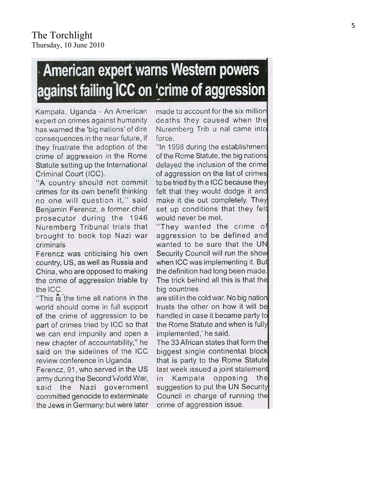# American expert warns Western powers against failing ICC on 'crime of aggression

Kampala, Uganda - An American expert on crimes against humanity has warned the 'big nations' of dire consequences in the near future, if they frustrate the adoption of the crime of aggression in the Rome Statute setting up the International Criminal Court (ICC).

"A country should not commit crimes for its own benefit thinking no one will question it," said Benjamin Ferencz, a former chief prosecutor during the 1946 Nuremberg Tribunal trials that brought to book top Nazi war criminals

Ferencz was criticising his own country, US, as well as Russia and China, who are opposed to making the crime of aggression triable by the ICC.

"This is the time all nations in the world should come in full support of the crime of aggression to be part of crimes tried by ICC so that we can end impunity and open a new chapter of accountability," he said on the sidelines of the ICC review conference in Uganda.

Ferencz, 91, who served in the US army during the Second V Vorld War, said the Nazi government committed genocide to exterminate the Jews in Germany, but were later

made to account for the six million deaths they caused when the Nuremberg Trib u nal came into force.

"In 1998 during the establishment of the Rome Statute, the big nations delayed the inclusion of the crime of aggression on the list of crimes to be tried by the ICC because they felt that they would dodge it and make it die out completely. They set up conditions that they felt would never be met.

"They wanted the crime of aggression to be defined and wanted to be sure that the UN Security Council will run the show when ICC was implementing it. But the definition had long been made. The trick behind all this is that the big countries

are still in the cold war. No big nation trusts the other on how it will be handled in case it became party to the Rome Statute and when is fully implemented,' he said.

The 33 African states that form the biggest single continental block that is party to the Rome Statute last week issued a joint statement Kampala opposing in the suggestion to put the UN Security Council in charge of running the crime of aggression issue.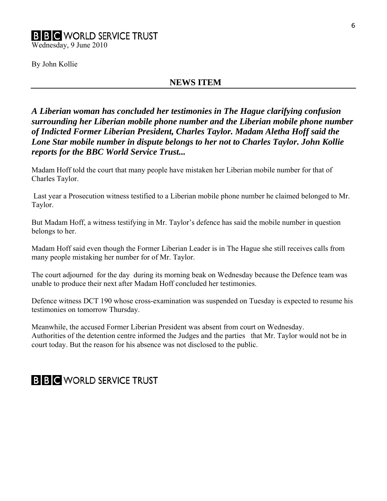Wednesday, 9 June 2010

By John Kollie

#### **NEWS ITEM**

*A Liberian woman has concluded her testimonies in The Hague clarifying confusion surrounding her Liberian mobile phone number and the Liberian mobile phone number of Indicted Former Liberian President, Charles Taylor. Madam Aletha Hoff said the Lone Star mobile number in dispute belongs to her not to Charles Taylor. John Kollie reports for the BBC World Service Trust...* 

Madam Hoff told the court that many people have mistaken her Liberian mobile number for that of Charles Taylor.

 Last year a Prosecution witness testified to a Liberian mobile phone number he claimed belonged to Mr. Taylor.

But Madam Hoff, a witness testifying in Mr. Taylor's defence has said the mobile number in question belongs to her.

Madam Hoff said even though the Former Liberian Leader is in The Hague she still receives calls from many people mistaking her number for of Mr. Taylor.

The court adjourned for the day during its morning beak on Wednesday because the Defence team was unable to produce their next after Madam Hoff concluded her testimonies.

Defence witness DCT 190 whose cross-examination was suspended on Tuesday is expected to resume his testimonies on tomorrow Thursday.

Meanwhile, the accused Former Liberian President was absent from court on Wednesday. Authorities of the detention centre informed the Judges and the parties that Mr. Taylor would not be in court today. But the reason for his absence was not disclosed to the public.

# **B B C** WORLD SERVICE TRUST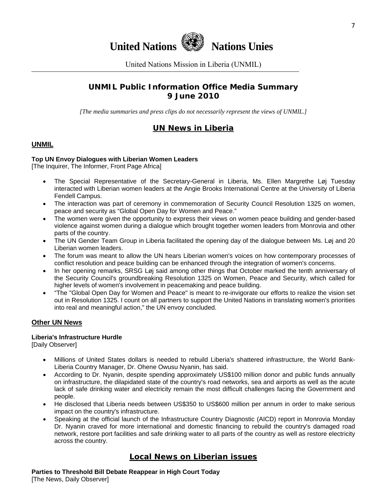

United Nations Mission in Liberia (UNMIL)

#### **UNMIL Public Information Office Media Summary 9 June 2010**

*[The media summaries and press clips do not necessarily represent the views of UNMIL.]* 

# **UN News in Liberia**

#### **UNMIL**

#### **Top UN Envoy Dialogues with Liberian Women Leaders**

[The Inquirer, The Informer, Front Page Africa]

- The Special Representative of the Secretary-General in Liberia, Ms. Ellen Margrethe Løj Tuesday interacted with Liberian women leaders at the Angie Brooks International Centre at the University of Liberia Fendell Campus.
- The interaction was part of ceremony in commemoration of Security Council Resolution 1325 on women, peace and security as "Global Open Day for Women and Peace."
- The women were given the opportunity to express their views on women peace building and gender-based violence against women during a dialogue which brought together women leaders from Monrovia and other parts of the country.
- The UN Gender Team Group in Liberia facilitated the opening day of the dialogue between Ms. Løj and 20 Liberian women leaders.
- The forum was meant to allow the UN hears Liberian women's voices on how contemporary processes of conflict resolution and peace building can be enhanced through the integration of women's concerns.
- In her opening remarks, SRSG Løj said among other things that October marked the tenth anniversary of the Security Council's groundbreaking Resolution 1325 on Women, Peace and Security, which called for higher levels of women's involvement in peacemaking and peace building.
- "The "Global Open Day for Women and Peace" is meant to re-invigorate our efforts to realize the vision set out in Resolution 1325. I count on all partners to support the United Nations in translating women's priorities into real and meaningful action," the UN envoy concluded.

#### **Other UN News**

#### **Liberia's Infrastructure Hurdle**

[Daily Observer]

- Millions of United States dollars is needed to rebuild Liberia's shattered infrastructure, the World Bank-Liberia Country Manager, Dr. Ohene Owusu Nyanin, has said.
- According to Dr. Nyanin, despite spending approximately US\$100 million donor and public funds annually on infrastructure, the dilapidated state of the country's road networks, sea and airports as well as the acute lack of safe drinking water and electricity remain the most difficult challenges facing the Government and people.
- He disclosed that Liberia needs between US\$350 to US\$600 million per annum in order to make serious impact on the country's infrastructure.
- Speaking at the official launch of the Infrastructure Country Diagnostic (AICD) report in Monrovia Monday Dr. Nyanin craved for more international and domestic financing to rebuild the country's damaged road network, restore port facilities and safe drinking water to all parts of the country as well as restore electricity across the country.

## **Local News on Liberian issues**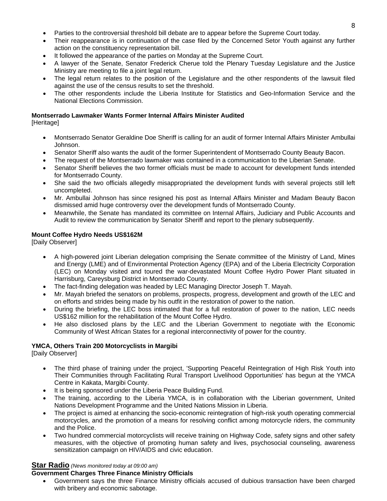- Parties to the controversial threshold bill debate are to appear before the Supreme Court today.
- Their reappearance is in continuation of the case filed by the Concerned Setor Youth against any further action on the constituency representation bill.
- It followed the appearance of the parties on Monday at the Supreme Court.
- A lawyer of the Senate, Senator Frederick Cherue told the Plenary Tuesday Legislature and the Justice Ministry are meeting to file a joint legal return.
- The legal return relates to the position of the Legislature and the other respondents of the lawsuit filed against the use of the census results to set the threshold.
- The other respondents include the Liberia Institute for Statistics and Geo-Information Service and the National Elections Commission.

# **Montserrado Lawmaker Wants Former Internal Affairs Minister Audited**

[Heritage]

- Montserrado Senator Geraldine Doe Sheriff is calling for an audit of former Internal Affairs Minister Ambullai Johnson.
- Senator Sheriff also wants the audit of the former Superintendent of Montserrado County Beauty Bacon.
- The request of the Montserrado lawmaker was contained in a communication to the Liberian Senate.
- Senator Sheriff believes the two former officials must be made to account for development funds intended for Montserrado County.
- She said the two officials allegedly misappropriated the development funds with several projects still left uncompleted.
- Mr. Ambullai Johnson has since resigned his post as Internal Affairs Minister and Madam Beauty Bacon dismissed amid huge controversy over the development funds of Montserrado County.
- Meanwhile, the Senate has mandated its committee on Internal Affairs, Judiciary and Public Accounts and Audit to review the communication by Senator Sheriff and report to the plenary subsequently.

#### **Mount Coffee Hydro Needs US\$162M**

[Daily Observer]

- A high-powered joint Liberian delegation comprising the Senate committee of the Ministry of Land, Mines and Energy (LME) and of Environmental Protection Agency (EPA) and of the Liberia Electricity Corporation (LEC) on Monday visited and toured the war-devastated Mount Coffee Hydro Power Plant situated in Harrisburg, Careysburg District in Montserrado County.
- The fact-finding delegation was headed by LEC Managing Director Joseph T. Mayah.
- Mr. Mayah briefed the senators on problems, prospects, progress, development and growth of the LEC and on efforts and strides being made by his outfit in the restoration of power to the nation.
- During the briefing, the LEC boss intimated that for a full restoration of power to the nation, LEC needs US\$162 million for the rehabilitation of the Mount Coffee Hydro.
- He also disclosed plans by the LEC and the Liberian Government to negotiate with the Economic Community of West African States for a regional interconnectivity of power for the country.

#### **YMCA, Others Train 200 Motorcyclists in Margibi**

[Daily Observer]

- The third phase of training under the project, 'Supporting Peaceful Reintegration of High Risk Youth into Their Communities through Facilitating Rural Transport Livelihood Opportunities' has begun at the YMCA Centre in Kakata, Margibi County.
- It is being sponsored under the Liberia Peace Building Fund.
- The training, according to the Liberia YMCA, is in collaboration with the Liberian government, United Nations Development Programme and the United Nations Mission in Liberia.
- The project is aimed at enhancing the socio-economic reintegration of high-risk youth operating commercial motorcycles, and the promotion of a means for resolving conflict among motorcycle riders, the community and the Police.
- Two hundred commercial motorcyclists will receive training on Highway Code, safety signs and other safety measures, with the objective of promoting human safety and lives, psychosocial counseling, awareness sensitization campaign on HIV/AIDS and civic education.

#### **Star Radio** *(News monitored today at 09:00 am)*

#### **Government Charges Three Finance Ministry Officials**

• Government says the three Finance Ministry officials accused of dubious transaction have been charged with bribery and economic sabotage.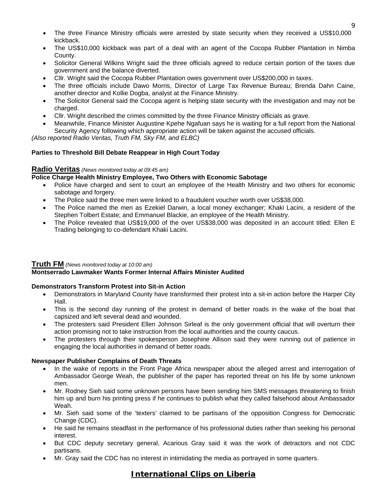- The three Finance Ministry officials were arrested by state security when they received a US\$10,000 kickback.
- The US\$10,000 kickback was part of a deal with an agent of the Cocopa Rubber Plantation in Nimba County.
- Solicitor General Wilkins Wright said the three officials agreed to reduce certain portion of the taxes due government and the balance diverted.
- Cllr. Wright said the Cocopa Rubber Plantation owes government over US\$200,000 in taxes.
- The three officials include Dawo Morris, Director of Large Tax Revenue Bureau; Brenda Dahn Caine, another director and Kollie Dogba, analyst at the Finance Ministry.
- The Solicitor General said the Cocopa agent is helping state security with the investigation and may not be charged.
- Cllr. Wright described the crimes committed by the three Finance Ministry officials as grave.
- Meanwhile, Finance Minister Augustine Kpehe Ngafuan says he is waiting for a full report from the National Security Agency following which appropriate action will be taken against the accused officials.

*(Also reported Radio Veritas, Truth FM, Sky FM, and ELBC)*

#### **Parties to Threshold Bill Debate Reappear in High Court Today**

#### **Radio Veritas** *(News monitored today at 09:45 am)*

#### **Police Charge Health Ministry Employee, Two Others with Economic Sabotage**

- Police have charged and sent to court an employee of the Health Ministry and two others for economic sabotage and forgery.
- The Police said the three men were linked to a fraudulent voucher worth over US\$38,000.
- The Police named the men as Ezekiel Darwin, a local money exchanger; Khaki Lacini, a resident of the Stephen Tolbert Estate; and Emmanuel Blackie, an employee of the Health Ministry.
- The Police revealed that US\$19,000 of the over US\$38,000 was deposited in an account titled: Ellen E Trading belonging to co-defendant Khaki Lacini.

#### **Truth FM** *(News monitored today at 10:00 am)*

#### **Montserrado Lawmaker Wants Former Internal Affairs Minister Audited**

#### **Demonstrators Transform Protest into Sit-in Action**

- Demonstrators in Maryland County have transformed their protest into a sit-in action before the Harper City Hall.
- This is the second day running of the protest in demand of better roads in the wake of the boat that capsized and left several dead and wounded.
- The protesters said President Ellen Johnson Sirleaf is the only government official that will overturn their action promising not to take instruction from the local authorities and the county caucus.
- The protesters through their spokesperson Josephine Allison said they were running out of patience in engaging the local authorities in demand of better roads.

#### **Newspaper Publisher Complains of Death Threats**

- In the wake of reports in the Front Page Africa newspaper about the alleged arrest and interrogation of Ambassador George Weah, the publisher of the paper has reported threat on his life by some unknown men.
- Mr. Rodney Sieh said some unknown persons have been sending him SMS messages threatening to finish him up and burn his printing press if he continues to publish what they called falsehood about Ambassador Weah.
- Mr. Sieh said some of the 'texters' claimed to be partisans of the opposition Congress for Democratic Change (CDC).
- He said he remains steadfast in the performance of his professional duties rather than seeking his personal interest.
- But CDC deputy secretary general, Acarious Gray said it was the work of detractors and not CDC partisans.
- Mr. Gray said the CDC has no interest in intimidating the media as portrayed in some quarters.

# **International Clips on Liberia**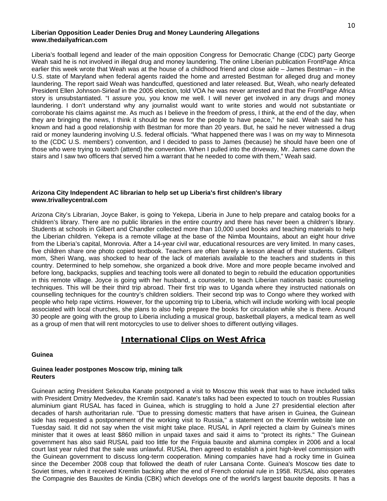#### **Liberian Opposition Leader Denies Drug and Money Laundering Allegations www.thedailyafrican.com**

Liberia's football legend and leader of the main opposition Congress for Democratic Change (CDC) party George Weah said he is not involved in illegal drug and money laundering. The online Liberian publication FrontPage Africa earlier this week wrote that Weah was at the house of a childhood friend and close aide – James Bestman – in the U.S. state of Maryland when federal agents raided the home and arrested Bestman for alleged drug and money laundering. The report said Weah was handcuffed, questioned and later released. But, Weah, who nearly defeated President Ellen Johnson-Sirleaf in the 2005 election, told VOA he was never arrested and that the FrontPage Africa story is unsubstantiated. "I assure you, you know me well. I will never get involved in any drugs and money laundering. I don't understand why any journalist would want to write stories and would not substantiate or corroborate his claims against me. As much as I believe in the freedom of press, I think, at the end of the day, when they are bringing the news, I think it should be news for the people to have peace," he said. Weah said he has known and had a good relationship with Bestman for more than 20 years. But, he said he never witnessed a drug raid or money laundering involving U.S. federal officials. "What happened there was I was on my way to Minnesota to the (CDC U.S. members') convention, and I decided to pass to James (because) he should have been one of those who were trying to watch (attend) the convention. When I pulled into the driveway, Mr. James came down the stairs and I saw two officers that served him a warrant that he needed to come with them," Weah said.

#### **Arizona City Independent AC librarian to help set up Liberia's first children's library www.trivalleycentral.com**

Arizona City's Librarian, Joyce Baker, is going to Yekepa, Liberia in June to help prepare and catalog books for a children's library. There are no public libraries in the entire country and there has never been a children's library. Students at schools in Gilbert and Chandler collected more than 10,000 used books and teaching materials to help the Liberian children. Yekepa is a remote village at the base of the Nimba Mountains, about an eight hour drive from the Liberia's capital, Monrovia. After a 14-year civil war, educational resources are very limited. In many cases, five children share one photo copied textbook. Teachers are often barely a lesson ahead of their students. Gilbert mom, Sheri Wang, was shocked to hear of the lack of materials available to the teachers and students in this country. Determined to help somehow, she organized a book drive. More and more people became involved and before long, backpacks, supplies and teaching tools were all donated to begin to rebuild the education opportunities in this remote village. Joyce is going with her husband, a counselor, to teach Liberian nationals basic counseling techniques. This will be their third trip abroad. Their first trip was to Uganda where they instructed nationals on counselling techniques for the country's children soldiers. Their second trip was to Congo where they worked with people who help rape victims. However, for the upcoming trip to Liberia, which will include working with local people associated with local churches, she plans to also help prepare the books for circulation while she is there. Around 30 people are going with the group to Liberia including a musical group, basketball players, a medical team as well as a group of men that will rent motorcycles to use to deliver shoes to different outlying villages.

## **International Clips on West Africa**

#### **Guinea**

#### **Guinea leader postpones Moscow trip, mining talk Reuters**

Guinean acting President Sekouba Kanate postponed a visit to Moscow this week that was to have included talks with President Dmitry Medvedev, the Kremlin said. Kanate's talks had been expected to touch on troubles Russian aluminium giant RUSAL has faced in Guinea, which is struggling to hold a June 27 presidential election after decades of harsh authoritarian rule. "Due to pressing domestic matters that have arisen in Guinea, the Guinean side has requested a postponement of the working visit to Russia," a statement on the Kremlin website late on Tuesday said. It did not say when the visit might take place. RUSAL in April rejected a claim by Guinea's mines minister that it owes at least \$860 million in unpaid taxes and said it aims to "protect its rights." The Guinean government has also said RUSAL paid too little for the Friguia bauxite and alumina complex in 2006 and a local court last year ruled that the sale was unlawful. RUSAL then agreed to establish a joint high-level commission with the Guinean government to discuss long-term cooperation. Mining companies have had a rocky time in Guinea since the December 2008 coup that followed the death of ruler Lansana Conte. Guinea's Moscow ties date to Soviet times, when it received Kremlin backing after the end of French colonial rule in 1958. RUSAL also operates the Compagnie des Bauxites de Kindia (CBK) which develops one of the world's largest bauxite deposits. It has a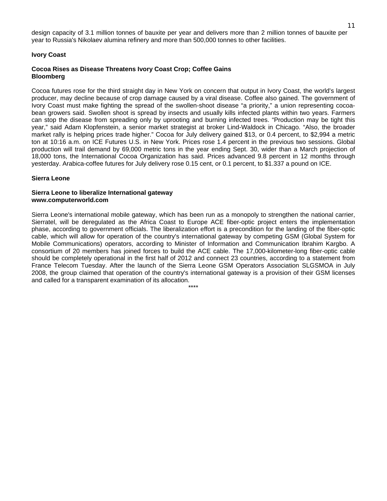design capacity of 3.1 million tonnes of bauxite per year and delivers more than 2 million tonnes of bauxite per year to Russia's Nikolaev alumina refinery and more than 500,000 tonnes to other facilities.

#### **Ivory Coast**

#### **Cocoa Rises as Disease Threatens Ivory Coast Crop; Coffee Gains Bloomberg**

Cocoa futures rose for the third straight day in New York on concern that output in Ivory Coast, the world's largest producer, may decline because of crop damage caused by a viral disease. Coffee also gained. The government of Ivory Coast must make fighting the spread of the swollen-shoot disease "a priority," a union representing cocoabean growers said. Swollen shoot is spread by insects and usually kills infected plants within two years. Farmers can stop the disease from spreading only by uprooting and burning infected trees. "Production may be tight this year," said Adam Klopfenstein, a senior market strategist at broker Lind-Waldock in Chicago. "Also, the broader market rally is helping prices trade higher." Cocoa for July delivery gained \$13, or 0.4 percent, to \$2,994 a metric ton at 10:16 a.m. on ICE Futures U.S. in New York. Prices rose 1.4 percent in the previous two sessions. Global production will trail demand by 69,000 metric tons in the year ending Sept. 30, wider than a March projection of 18,000 tons, the International Cocoa Organization has said. Prices advanced 9.8 percent in 12 months through yesterday. Arabica-coffee futures for July delivery rose 0.15 cent, or 0.1 percent, to \$1.337 a pound on ICE.

#### **Sierra Leone**

#### **Sierra Leone to liberalize International gateway www.computerworld.com**

Sierra Leone's international mobile gateway, which has been run as a monopoly to strengthen the national carrier, Sierratel, will be deregulated as the Africa Coast to Europe ACE fiber-optic project enters the implementation phase, according to government officials. The liberalization effort is a precondition for the landing of the fiber-optic cable, which will allow for operation of the country's international gateway by competing GSM (Global System for Mobile Communications) operators, according to Minister of Information and Communication Ibrahim Kargbo. A consortium of 20 members has joined forces to build the ACE cable. The 17,000-kilometer-long fiber-optic cable should be completely operational in the first half of 2012 and connect 23 countries, according to a statement from France Telecom Tuesday. After the launch of the Sierra Leone GSM Operators Association SLGSMOA in July 2008, the group claimed that operation of the country's international gateway is a provision of their GSM licenses and called for a transparent examination of its allocation. \*\*\*\*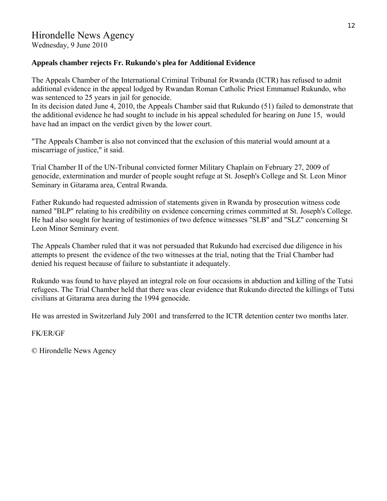Wednesday, 9 June 2010

#### **Appeals chamber rejects Fr. Rukundo's plea for Additional Evidence**

The Appeals Chamber of the International Criminal Tribunal for Rwanda (ICTR) has refused to admit additional evidence in the appeal lodged by Rwandan Roman Catholic Priest Emmanuel Rukundo, who was sentenced to 25 years in jail for genocide.

In its decision dated June 4, 2010, the Appeals Chamber said that Rukundo (51) failed to demonstrate that the additional evidence he had sought to include in his appeal scheduled for hearing on June 15, would have had an impact on the verdict given by the lower court.

"The Appeals Chamber is also not convinced that the exclusion of this material would amount at a miscarriage of justice," it said.

Trial Chamber II of the UN-Tribunal convicted former Military Chaplain on February 27, 2009 of genocide, extermination and murder of people sought refuge at St. Joseph's College and St. Leon Minor Seminary in Gitarama area, Central Rwanda.

Father Rukundo had requested admission of statements given in Rwanda by prosecution witness code named "BLP" relating to his credibility on evidence concerning crimes committed at St. Joseph's College. He had also sought for hearing of testimonies of two defence witnesses "SLB" and "SLZ" concerning St Leon Minor Seminary event.

The Appeals Chamber ruled that it was not persuaded that Rukundo had exercised due diligence in his attempts to present the evidence of the two witnesses at the trial, noting that the Trial Chamber had denied his request because of failure to substantiate it adequately.

Rukundo was found to have played an integral role on four occasions in abduction and killing of the Tutsi refugees. The Trial Chamber held that there was clear evidence that Rukundo directed the killings of Tutsi civilians at Gitarama area during the 1994 genocide.

He was arrested in Switzerland July 2001 and transferred to the ICTR detention center two months later.

FK/ER/GF

© Hirondelle News Agency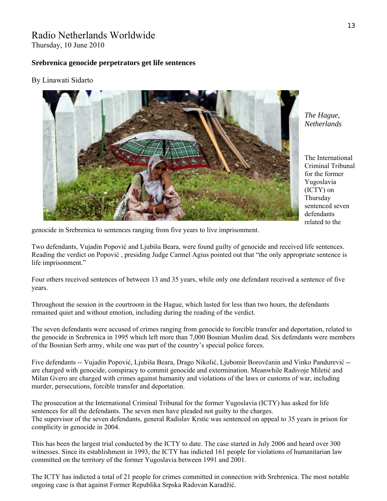# Radio Netherlands Worldwide

Thursday, 10 June 2010

#### **Srebrenica genocide perpetrators get life sentences**

#### By Linawati Sidarto



*The Hague, Netherlands* 

The International Criminal T ribunal for the former Yugosla via (ICTY) on Thursday sentenced s even defendants related to the

genocide in Srebrenica to sentences ranging from five years to live imprisonment.

Two defendants, Vujadin Popović and Ljubiša Beara, were found guilty of genocide and received life sentences. Reading the verdict on Popović , presiding Judge Carmel Agius pointed out that "the only appropriate sentence is life imprisonment."

Four others received sentences of between 13 and 35 years, while only one defendant received a sentence of five years.

Throughout the session in the courtroom in the Hague, which lasted for less than two hours, the defendants remained quiet and without emotion, including during the reading of the verdict.

The seven defendants were accused of crimes ranging from genocide to forcible transfer and deportation, related to the genocide in Srebrenica in 1995 which left more than 7,000 Bosnian Muslim dead. Six defendants were members of the Bosnian Serb army, while one was part of the country's special police forces.

Five defendants -- Vujadin Popović, Ljubiša Beara, Drago Nikolić, Ljubomir Borovčanin and Vinko Pandurević - are charged with genocide, conspiracy to commit genocide and extermination. Meanwhile Radivoje Miletić and Milan Gvero are charged with crimes against humanity and violations of the laws or customs of war, including murder, persecutions, forcible transfer and deportation.

The prosecution at the International Criminal Tribunal for the former Yugoslavia (ICTY) has asked for life sentences for all the defendants. The seven men have pleaded not guilty to the charges. The supervisor of the seven defendants, general Radislav Krstic was sentenced on appeal to 35 years in prison for complicity in genocide in 2004.

This has been the largest trial conducted by the ICTY to date. The case started in July 2006 and heard over 300 witnesses. Since its establishment in 1993, the ICTY has indicted 161 people for violations of humanitarian law committed on the territory of the former Yugoslavia between 1991 and 2001.

The ICTY has indicted a total of 21 people for crimes committed in connection with Srebrenica. The most notable ongoing case is that against Former Republika Srpska Radovan Karadžić.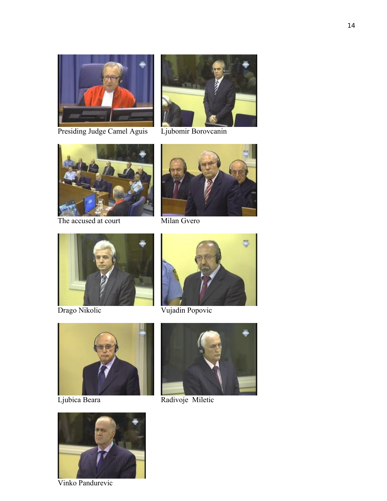

[Presiding Judge Camel Aguis](http://www.rnw.nl/data/files/images/Presiding Judge Carmel Agius.jpg) Ljubomir Borovcanin





[The accused at court](http://www.rnw.nl/data/files/images/The Accused.jpg) Milan Gvero











[Vinko Pandurevic](http://www.rnw.nl/data/files/images/Vinko Pandurevic.jpg) 



[Ljubica Beara](http://www.rnw.nl/data/files/images/Ljubica Beara.jpg) Radivoje Miletic

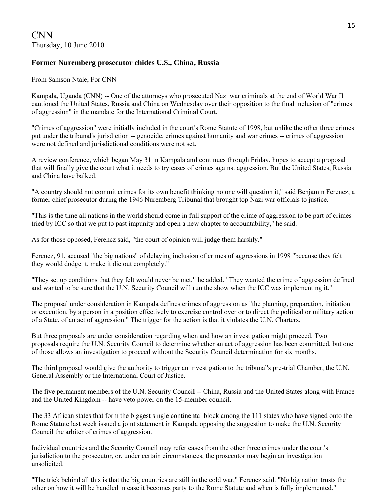CNN Thursday, 10 June 2010

#### **Former Nuremberg prosecutor chides U.S., China, Russia**

From Samson Ntale, For CNN

Kampala, Uganda (CNN) -- One of the attorneys who prosecuted Nazi war criminals at the end of World War II cautioned the United States, Russia and China on Wednesday over their opposition to the final inclusion of "crimes of aggression" in the mandate for the International Criminal Court.

"Crimes of aggression" were initially included in the court's Rome Statute of 1998, but unlike the other three crimes put under the tribunal's jurisdiction -- genocide, crimes against humanity and war crimes -- crimes of aggression were not defined and jurisdictional conditions were not set.

A review conference, which began May 31 in Kampala and continues through Friday, hopes to accept a proposal that will finally give the court what it needs to try cases of crimes against aggression. But the United States, Russia and China have balked.

"A country should not commit crimes for its own benefit thinking no one will question it," said Benjamin Ferencz, a former chief prosecutor during the 1946 Nuremberg Tribunal that brought top Nazi war officials to justice.

"This is the time all nations in the world should come in full support of the crime of aggression to be part of crimes tried by ICC so that we put to past impunity and open a new chapter to accountability," he said.

As for those opposed, Ferencz said, "the court of opinion will judge them harshly."

Ferencz, 91, accused "the big nations" of delaying inclusion of crimes of aggressions in 1998 "because they felt they would dodge it, make it die out completely."

"They set up conditions that they felt would never be met," he added. "They wanted the crime of aggression defined and wanted to be sure that the U.N. Security Council will run the show when the ICC was implementing it."

The proposal under consideration in Kampala defines crimes of aggression as "the planning, preparation, initiation or execution, by a person in a position effectively to exercise control over or to direct the political or military action of a State, of an act of aggression." The trigger for the action is that it violates the U.N. Charters.

But three proposals are under consideration regarding when and how an investigation might proceed. Two proposals require the U.N. Security Council to determine whether an act of aggression has been committed, but one of those allows an investigation to proceed without the Security Council determination for six months.

The third proposal would give the authority to trigger an investigation to the tribunal's pre-trial Chamber, the U.N. General Assembly or the International Court of Justice.

The five permanent members of the U.N. Security Council -- China, Russia and the United States along with France and the United Kingdom -- have veto power on the 15-member council.

The 33 African states that form the biggest single continental block among the 111 states who have signed onto the Rome Statute last week issued a joint statement in Kampala opposing the suggestion to make the U.N. Security Council the arbiter of crimes of aggression.

Individual countries and the Security Council may refer cases from the other three crimes under the court's jurisdiction to the prosecutor, or, under certain circumstances, the prosecutor may begin an investigation unsolicited.

"The trick behind all this is that the big countries are still in the cold war," Ferencz said. "No big nation trusts the other on how it will be handled in case it becomes party to the Rome Statute and when is fully implemented."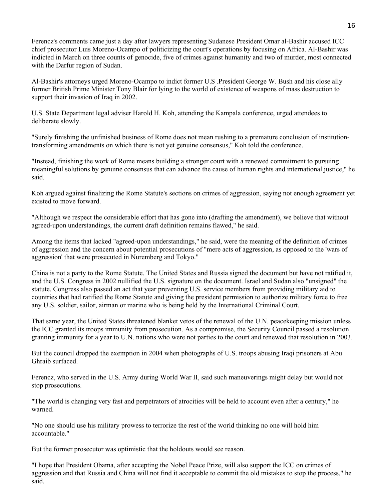Ferencz's comments came just a day after lawyers representing Sudanese President Omar al-Bashir accused ICC chief prosecutor Luis Moreno-Ocampo of politicizing the court's operations by focusing on Africa. Al-Bashir was indicted in March on three counts of genocide, five of crimes against humanity and two of murder, most connected with the Darfur region of Sudan.

Al-Bashir's attorneys urged Moreno-Ocampo to indict former U.S .President George W. Bush and his close ally former British Prime Minister Tony Blair for lying to the world of existence of weapons of mass destruction to support their invasion of Iraq in 2002.

U.S. State Department legal adviser Harold H. Koh, attending the Kampala conference, urged attendees to deliberate slowly.

"Surely finishing the unfinished business of Rome does not mean rushing to a premature conclusion of institutiontransforming amendments on which there is not yet genuine consensus," Koh told the conference.

"Instead, finishing the work of Rome means building a stronger court with a renewed commitment to pursuing meaningful solutions by genuine consensus that can advance the cause of human rights and international justice," he said.

Koh argued against finalizing the Rome Statute's sections on crimes of aggression, saying not enough agreement yet existed to move forward.

"Although we respect the considerable effort that has gone into (drafting the amendment), we believe that without agreed-upon understandings, the current draft definition remains flawed," he said.

Among the items that lacked "agreed-upon understandings," he said, were the meaning of the definition of crimes of aggression and the concern about potential prosecutions of "mere acts of aggression, as opposed to the 'wars of aggression' that were prosecuted in Nuremberg and Tokyo."

China is not a party to the Rome Statute. The United States and Russia signed the document but have not ratified it, and the U.S. Congress in 2002 nullified the U.S. signature on the document. Israel and Sudan also "unsigned" the statute. Congress also passed an act that year preventing U.S. service members from providing military aid to countries that had ratified the Rome Statute and giving the president permission to authorize military force to free any U.S. soldier, sailor, airman or marine who is being held by the International Criminal Court.

That same year, the United States threatened blanket vetos of the renewal of the U.N. peacekeeping mission unless the ICC granted its troops immunity from prosecution. As a compromise, the Security Council passed a resolution granting immunity for a year to U.N. nations who were not parties to the court and renewed that resolution in 2003.

But the council dropped the exemption in 2004 when photographs of U.S. troops abusing Iraqi prisoners at Abu Ghraib surfaced.

Ferencz, who served in the U.S. Army during World War II, said such maneuverings might delay but would not stop prosecutions.

"The world is changing very fast and perpetrators of atrocities will be held to account even after a century," he warned.

"No one should use his military prowess to terrorize the rest of the world thinking no one will hold him accountable."

But the former prosecutor was optimistic that the holdouts would see reason.

"I hope that President Obama, after accepting the Nobel Peace Prize, will also support the ICC on crimes of aggression and that Russia and China will not find it acceptable to commit the old mistakes to stop the process," he said.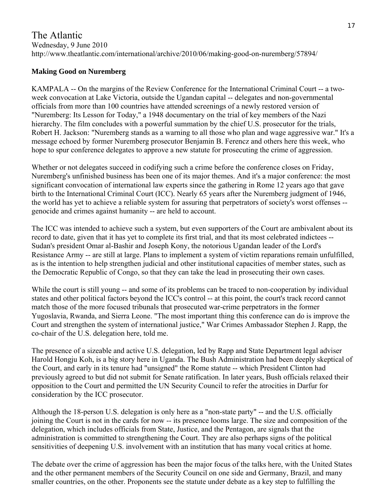# The Atlantic Wednesday, 9 June 2010 http://www.theatlantic.com/international/archive/2010/06/making-good-on-nuremberg/57894/

### **Making Good on Nuremberg**

KAMPALA -- On the margins of the Review Conference for the International Criminal Court -- a twoweek convocation at Lake Victoria, outside the Ugandan capital -- delegates and non-governmental officials from more than 100 countries have attended screenings of a newly restored version of "Nuremberg: Its Lesson for Today," a 1948 documentary on the trial of key members of the Nazi hierarchy. The film concludes with a powerful summation by the chief U.S. prosecutor for the trials, Robert H. Jackson: "Nuremberg stands as a warning to all those who plan and wage aggressive war." It's a message echoed by former Nuremberg prosecutor Benjamin B. Ferencz and others here this week, who hope to spur conference delegates to approve a new statute for prosecuting the crime of aggression.

Whether or not delegates succeed in codifying such a crime before the conference closes on Friday, Nuremberg's unfinished business has been one of its major themes. And it's a major conference: the most significant convocation of international law experts since the gathering in Rome 12 years ago that gave birth to the International Criminal Court (ICC). Nearly 65 years after the Nuremberg judgment of 1946, the world has yet to achieve a reliable system for assuring that perpetrators of society's worst offenses - genocide and crimes against humanity -- are held to account.

The ICC was intended to achieve such a system, but even supporters of the Court are ambivalent about its record to date, given that it has yet to complete its first trial, and that its most celebrated indictees -- Sudan's president Omar al-Bashir and Joseph Kony, the notorious Ugandan leader of the Lord's Resistance Army -- are still at large. Plans to implement a system of victim reparations remain unfulfilled, as is the intention to help strengthen judicial and other institutional capacities of member states, such as the Democratic Republic of Congo, so that they can take the lead in prosecuting their own cases.

While the court is still young -- and some of its problems can be traced to non-cooperation by individual states and other political factors beyond the ICC's control -- at this point, the court's track record cannot match those of the more focused tribunals that prosecuted war-crime perpetrators in the former Yugoslavia, Rwanda, and Sierra Leone. "The most important thing this conference can do is improve the Court and strengthen the system of international justice," War Crimes Ambassador Stephen J. Rapp, the co-chair of the U.S. delegation here, told me.

The presence of a sizeable and active U.S. delegation, led by Rapp and State Department legal adviser Harold Hongju Koh, is a big story here in Uganda. The Bush Administration had been deeply skeptical of the Court, and early in its tenure had "unsigned" the Rome statute -- which President Clinton had previously agreed to but did not submit for Senate ratification. In later years, Bush officials relaxed their opposition to the Court and permitted the UN Security Council to refer the atrocities in Darfur for consideration by the ICC prosecutor.

Although the 18-person U.S. delegation is only here as a "non-state party" -- and the U.S. officially joining the Court is not in the cards for now -- its presence looms large. The size and composition of the delegation, which includes officials from State, Justice, and the Pentagon, are signals that the administration is committed to strengthening the Court. They are also perhaps signs of the political sensitivities of deepening U.S. involvement with an institution that has many vocal critics at home.

The debate over the crime of aggression has been the major focus of the talks here, with the United States and the other permanent members of the Security Council on one side and Germany, Brazil, and many smaller countries, on the other. Proponents see the statute under debate as a key step to fulfilling the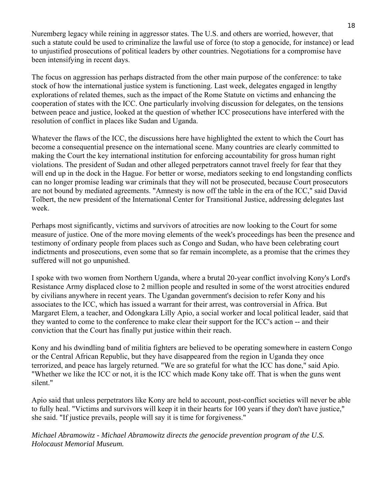Nuremberg legacy while reining in aggressor states. The U.S. and others are worried, however, that such a statute could be used to criminalize the lawful use of force (to stop a genocide, for instance) or lead to unjustified prosecutions of political leaders by other countries. Negotiations for a compromise have been intensifying in recent days.

The focus on aggression has perhaps distracted from the other main purpose of the conference: to take stock of how the international justice system is functioning. Last week, delegates engaged in lengthy explorations of related themes, such as the impact of the Rome Statute on victims and enhancing the cooperation of states with the ICC. One particularly involving discussion for delegates, on the tensions between peace and justice, looked at the question of whether ICC prosecutions have interfered with the resolution of conflict in places like Sudan and Uganda.

Whatever the flaws of the ICC, the discussions here have highlighted the extent to which the Court has become a consequential presence on the international scene. Many countries are clearly committed to making the Court the key international institution for enforcing accountability for gross human right violations. The president of Sudan and other alleged perpetrators cannot travel freely for fear that they will end up in the dock in the Hague. For better or worse, mediators seeking to end longstanding conflicts can no longer promise leading war criminals that they will not be prosecuted, because Court prosecutors are not bound by mediated agreements. "Amnesty is now off the table in the era of the ICC," said David Tolbert, the new president of the International Center for Transitional Justice, addressing delegates last week.

Perhaps most significantly, victims and survivors of atrocities are now looking to the Court for some measure of justice. One of the more moving elements of the week's proceedings has been the presence and testimony of ordinary people from places such as Congo and Sudan, who have been celebrating court indictments and prosecutions, even some that so far remain incomplete, as a promise that the crimes they suffered will not go unpunished.

I spoke with two women from Northern Uganda, where a brutal 20-year conflict involving Kony's Lord's Resistance Army displaced close to 2 million people and resulted in some of the worst atrocities endured by civilians anywhere in recent years. The Ugandan government's decision to refer Kony and his associates to the ICC, which has issued a warrant for their arrest, was controversial in Africa. But Margaret Elem, a teacher, and Odongkara Lilly Apio, a social worker and local political leader, said that they wanted to come to the conference to make clear their support for the ICC's action -- and their conviction that the Court has finally put justice within their reach.

Kony and his dwindling band of militia fighters are believed to be operating somewhere in eastern Congo or the Central African Republic, but they have disappeared from the region in Uganda they once terrorized, and peace has largely returned. "We are so grateful for what the ICC has done," said Apio. "Whether we like the ICC or not, it is the ICC which made Kony take off. That is when the guns went silent."

Apio said that unless perpetrators like Kony are held to account, post-conflict societies will never be able to fully heal. "Victims and survivors will keep it in their hearts for 100 years if they don't have justice," she said. "If justice prevails, people will say it is time for forgiveness."

*Michael Abramowitz - Michael Abramowitz directs the genocide prevention program of the U.S. Holocaust Memorial Museum.*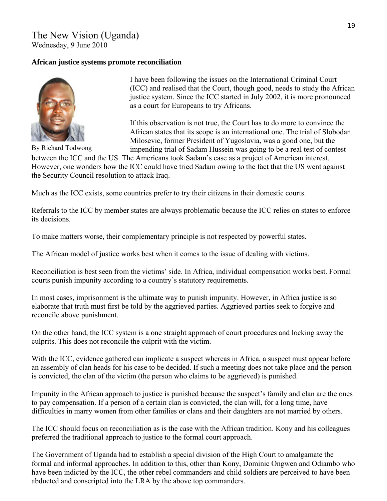# The New Vision (Uganda)

Wednesday, 9 June 2010

#### **African justice systems promote reconciliation**



By Richard Todwong

I have been following the issues on the International Criminal Court (ICC) and realised that the Court, though good, needs to study the African justice system. Since the ICC started in July 2002, it is more pronounced as a court for Europeans to try Africans.

If this observation is not true, the Court has to do more to convince the African states that its scope is an international one. The trial of Slobodan Milosevic, former President of Yugoslavia, was a good one, but the impending trial of Sadam Hussein was going to be a real test of contest

between the ICC and the US. The Americans took Sadam's case as a project of American interest. However, one wonders how the ICC could have tried Sadam owing to the fact that the US went against the Security Council resolution to attack Iraq.

Much as the ICC exists, some countries prefer to try their citizens in their domestic courts.

Referrals to the ICC by member states are always problematic because the ICC relies on states to enforce its decisions.

To make matters worse, their complementary principle is not respected by powerful states.

The African model of justice works best when it comes to the issue of dealing with victims.

Reconciliation is best seen from the victims' side. In Africa, individual compensation works best. Formal courts punish impunity according to a country's statutory requirements.

In most cases, imprisonment is the ultimate way to punish impunity. However, in Africa justice is so elaborate that truth must first be told by the aggrieved parties. Aggrieved parties seek to forgive and reconcile above punishment.

On the other hand, the ICC system is a one straight approach of court procedures and locking away the culprits. This does not reconcile the culprit with the victim.

With the ICC, evidence gathered can implicate a suspect whereas in Africa, a suspect must appear before an assembly of clan heads for his case to be decided. If such a meeting does not take place and the person is convicted, the clan of the victim (the person who claims to be aggrieved) is punished.

Impunity in the African approach to justice is punished because the suspect's family and clan are the ones to pay compensation. If a person of a certain clan is convicted, the clan will, for a long time, have difficulties in marry women from other families or clans and their daughters are not married by others.

The ICC should focus on reconciliation as is the case with the African tradition. Kony and his colleagues preferred the traditional approach to justice to the formal court approach.

The Government of Uganda had to establish a special division of the High Court to amalgamate the formal and informal approaches. In addition to this, other than Kony, Dominic Ongwen and Odiambo who have been indicted by the ICC, the other rebel commanders and child soldiers are perceived to have been abducted and conscripted into the LRA by the above top commanders.